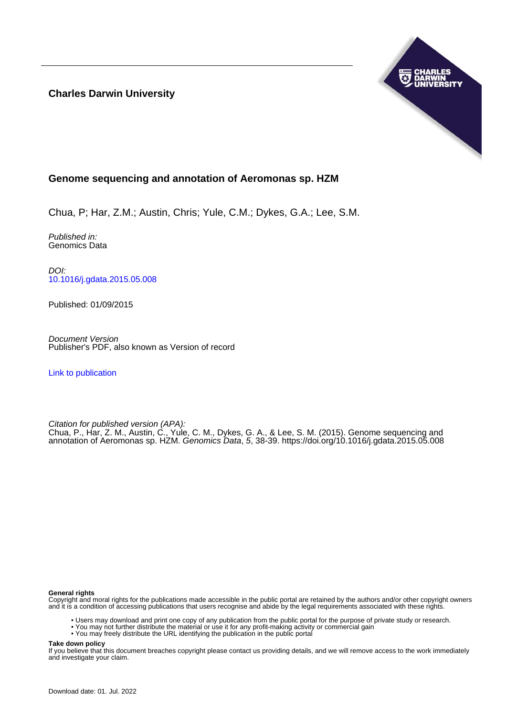**Charles Darwin University**



## **Genome sequencing and annotation of Aeromonas sp. HZM**

Chua, P; Har, Z.M.; Austin, Chris; Yule, C.M.; Dykes, G.A.; Lee, S.M.

Published in: Genomics Data

DOI: [10.1016/j.gdata.2015.05.008](https://doi.org/10.1016/j.gdata.2015.05.008)

Published: 01/09/2015

Document Version Publisher's PDF, also known as Version of record

[Link to publication](https://researchers.cdu.edu.au/en/publications/dabab6f7-f88e-4c43-918b-e67b16445c37)

Citation for published version (APA):

Chua, P., Har, Z. M., Austin, C., Yule, C. M., Dykes, G. A., & Lee, S. M. (2015). Genome sequencing and annotation of Aeromonas sp. HZM. Genomics Data, 5, 38-39. <https://doi.org/10.1016/j.gdata.2015.05.008>

### **General rights**

Copyright and moral rights for the publications made accessible in the public portal are retained by the authors and/or other copyright owners and it is a condition of accessing publications that users recognise and abide by the legal requirements associated with these rights.

- Users may download and print one copy of any publication from the public portal for the purpose of private study or research.
- You may not further distribute the material or use it for any profit-making activity or commercial gain
- You may freely distribute the URL identifying the publication in the public portal

**Take down policy**

If you believe that this document breaches copyright please contact us providing details, and we will remove access to the work immediately and investigate your claim.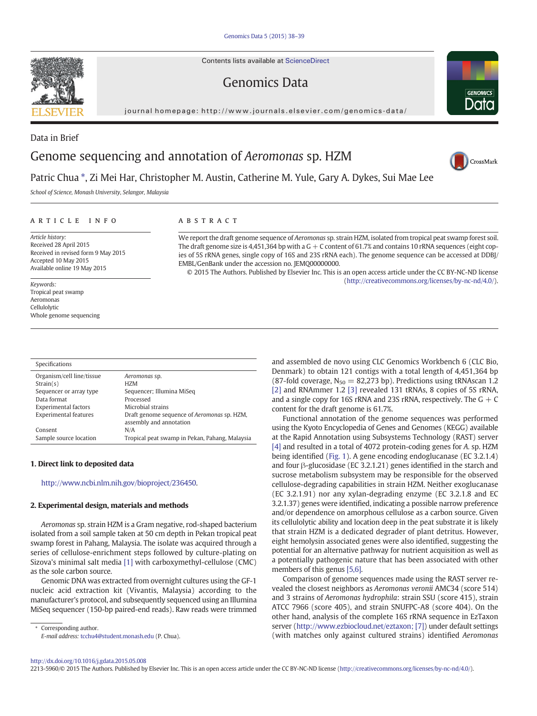Contents lists available at [ScienceDirect](http://www.sciencedirect.com/science/journal/22135960)

## Genomics Data

journal homepage: [http://www.journals.elsevier.com/genomics-data/](http://www.journals.elsevier.com/genomicsata/)



# CrossMark

**GENOMICS** Data

## Patric Chua \*, Zi Mei Har, Christopher M. Austin, Catherine M. Yule, Gary A. Dykes, Sui Mae Lee

School of Science, Monash University, Selangor, Malaysia

#### article info abstract

Article history: Received 28 April 2015 Received in revised form 9 May 2015 Accepted 10 May 2015 Available online 19 May 2015

Keywords: Tropical peat swamp Aeromonas Cellulolytic Whole genome sequencing

| We report the draft genome sequence of <i>Aeromongs</i> sp. strain HZM. isolated from tropical peat swamp forest soil. |
|------------------------------------------------------------------------------------------------------------------------|
| The draft genome size is 4,451,364 bp with a $G + C$ content of 61.7% and contains 10 rRNA sequences (eight cop-       |
| ies of 5S rRNA genes, single copy of 16S and 23S rRNA each). The genome sequence can be accessed at DDBJ/              |
| EMBL/GenBank under the accession no. IEMO00000000.                                                                     |
| @ 2015 The Authors Dubble of the Plandards of This is an account of the moderation CODV MC ND Based                    |

© 2015 The Authors. Published by Elsevier Inc. This is an open access article under the CC BY-NC-ND license (<http://creativecommons.org/licenses/by-nc-nd/4.0/>).

| Specifications               |                                                                        |
|------------------------------|------------------------------------------------------------------------|
| Organism/cell line/tissue    | Aeromonas sp.                                                          |
| Strain(s)                    | H <sub>7</sub> M                                                       |
| Sequencer or array type      | Sequencer; Illumina MiSeq                                              |
| Data format                  | Processed                                                              |
| <b>Experimental factors</b>  | Microbial strains                                                      |
| <b>Experimental features</b> | Draft genome sequence of Aeromonas sp. HZM,<br>assembly and annotation |
| Consent                      | N/A                                                                    |
| Sample source location       | Tropical peat swamp in Pekan, Pahang, Malaysia                         |

#### 1. Direct link to deposited data

#### [http://www.ncbi.nlm.nih.gov/bioproject/236450.](http://www.ncbi.nlm.nih.gov/bioproject/236450)

#### 2. Experimental design, materials and methods

Aeromonas sp. strain HZM is a Gram negative, rod-shaped bacterium isolated from a soil sample taken at 50 cm depth in Pekan tropical peat swamp forest in Pahang, Malaysia. The isolate was acquired through a series of cellulose-enrichment steps followed by culture-plating on Sizova's minimal salt media [\[1\]](#page-2-0) with carboxymethyl-cellulose (CMC) as the sole carbon source.

Genomic DNA was extracted from overnight cultures using the GF-1 nucleic acid extraction kit (Vivantis, Malaysia) according to the manufacturer's protocol, and subsequently sequenced using an Illumina MiSeq sequencer (150-bp paired-end reads). Raw reads were trimmed

Corresponding author. E-mail address: [tcchu4@student.monash.edu](mailto:tcchu4@student.monash.edu) (P. Chua). and assembled de novo using CLC Genomics Workbench 6 (CLC Bio, Denmark) to obtain 121 contigs with a total length of 4,451,364 bp (87-fold coverage,  $N_{50} = 82,273$  bp). Predictions using tRNAscan 1.2 [\[2\]](#page-2-0) and RNAmmer 1.2 [\[3\]](#page-2-0) revealed 131 tRNAs, 8 copies of 5S rRNA, and a single copy for 16S rRNA and 23S rRNA, respectively. The  $G + C$ content for the draft genome is 61.7%.

Functional annotation of the genome sequences was performed using the Kyoto Encyclopedia of Genes and Genomes (KEGG) available at the Rapid Annotation using Subsystems Technology (RAST) server [\[4\]](#page-2-0) and resulted in a total of 4072 protein-coding genes for A. sp. HZM being identified ([Fig. 1](#page-2-0)). A gene encoding endoglucanase (EC 3.2.1.4) and four β-glucosidase (EC 3.2.1.21) genes identified in the starch and sucrose metabolism subsystem may be responsible for the observed cellulose-degrading capabilities in strain HZM. Neither exoglucanase (EC 3.2.1.91) nor any xylan-degrading enzyme (EC 3.2.1.8 and EC 3.2.1.37) genes were identified, indicating a possible narrow preference and/or dependence on amorphous cellulose as a carbon source. Given its cellulolytic ability and location deep in the peat substrate it is likely that strain HZM is a dedicated degrader of plant detritus. However, eight hemolysin associated genes were also identified, suggesting the potential for an alternative pathway for nutrient acquisition as well as a potentially pathogenic nature that has been associated with other members of this genus [\[5,6\].](#page-2-0)

Comparison of genome sequences made using the RAST server revealed the closest neighbors as Aeromonas veronii AMC34 (score 514) and 3 strains of Aeromonas hydrophila: strain SSU (score 415), strain ATCC 7966 (score 405), and strain SNUFPC-A8 (score 404). On the other hand, analysis of the complete 16S rRNA sequence in EzTaxon server [\(http://www.ezbiocloud.net/eztaxon;](http://www.ezbiocloud.net/eztaxon;) [\[7\]](#page-2-0)) under default settings (with matches only against cultured strains) identified Aeromonas

2213-5960/© 2015 The Authors. Published by Elsevier Inc. This is an open access article under the CC BY-NC-ND license [\(http://creativecommons.org/licenses/by-nc-nd/4.0/\)](http://creativecommons.org/licenses/by-nc-nd/4.0/).